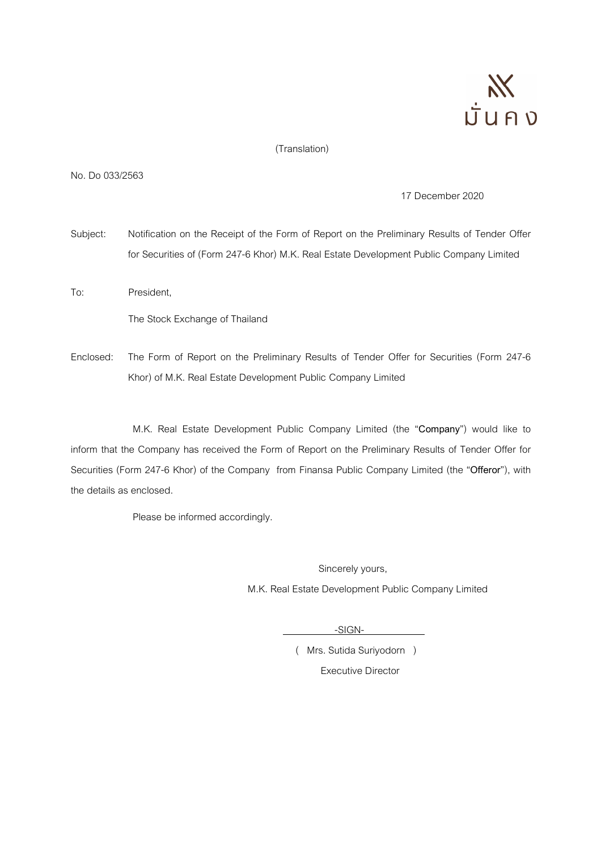

# (Translation)

#### No. Do 033/2563

17 December 2020

Subject: Notification on the Receipt of the Form of Report on the Preliminary Results of Tender Offer for Securities of (Form 247-6 Khor) M.K. Real Estate Development Public Company Limited

To: President,

The Stock Exchange of Thailand

Enclosed: The Form of Report on the Preliminary Results of Tender Offer for Securities (Form 247-6 Khor) of M.K. Real Estate Development Public Company Limited

M.K. Real Estate Development Public Company Limited (the "Company") would like to inform that the Company has received the Form of Report on the Preliminary Results of Tender Offer for Securities (Form 247-6 Khor) of the Company from Finansa Public Company Limited (the "Offeror"), with the details as enclosed.

Please be informed accordingly.

Sincerely yours,

M.K. Real Estate Development Public Company Limited

 $-SIGN-$ 

 ( Mrs. Sutida Suriyodorn ) Executive Director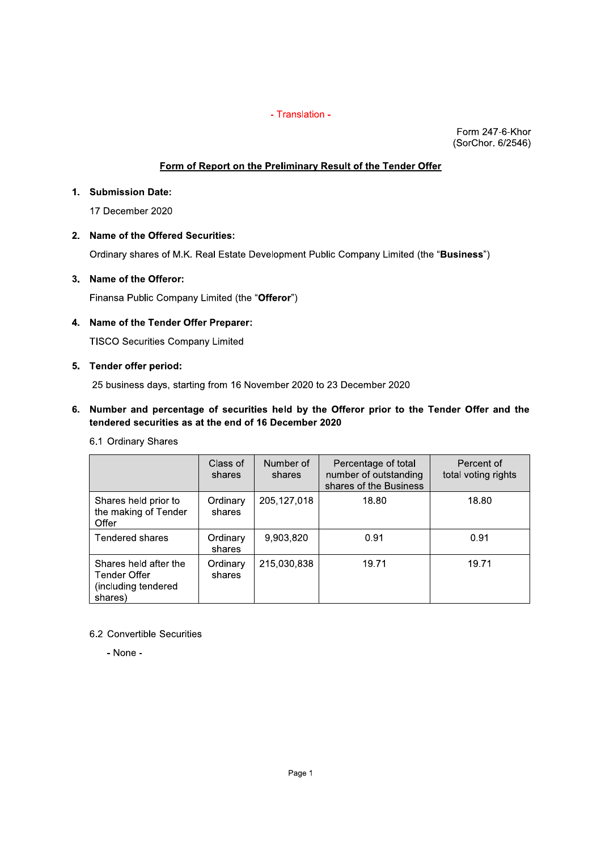## - Translation -

Form 247-6-Khor (SorChor. 6/2546)

# Form of Report on the Preliminary Result of the Tender Offer

### 1. Submission Date:

17 December 2020

#### 2. Name of the Offered Securities:

Ordinary shares of M.K. Real Estate Development Public Company Limited (the "Business")

## 3. Name of the Offeror:

Finansa Public Company Limited (the "Offeror")

### 4. Name of the Tender Offer Preparer:

**TISCO Securities Company Limited** 

#### 5. Tender offer period:

25 business days, starting from 16 November 2020 to 23 December 2020

# 6. Number and percentage of securities held by the Offeror prior to the Tender Offer and the tendered securities as at the end of 16 December 2020

#### 6.1 Ordinary Shares

|                                                                         | Class of<br>shares | Number of<br>shares | Percentage of total<br>number of outstanding<br>shares of the Business | Percent of<br>total voting rights |
|-------------------------------------------------------------------------|--------------------|---------------------|------------------------------------------------------------------------|-----------------------------------|
| Shares held prior to<br>the making of Tender<br>Offer                   | Ordinary<br>shares | 205, 127, 018       | 18.80                                                                  | 18.80                             |
| Tendered shares                                                         | Ordinary<br>shares | 9,903,820           | 0.91                                                                   | 0.91                              |
| Shares held after the<br>Tender Offer<br>(including tendered<br>shares) | Ordinary<br>shares | 215,030,838         | 19.71                                                                  | 19.71                             |

## 6.2 Convertible Securities

- None -